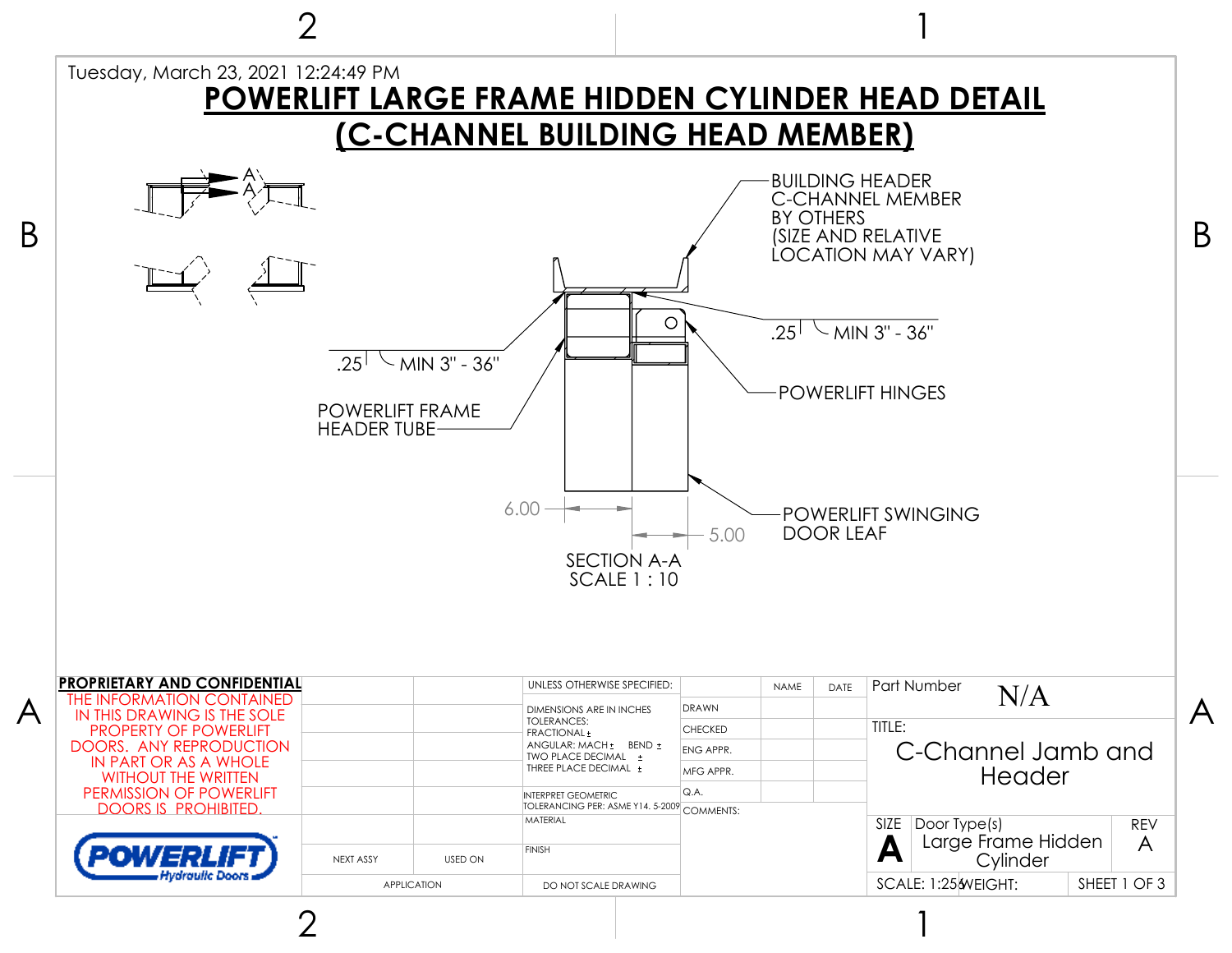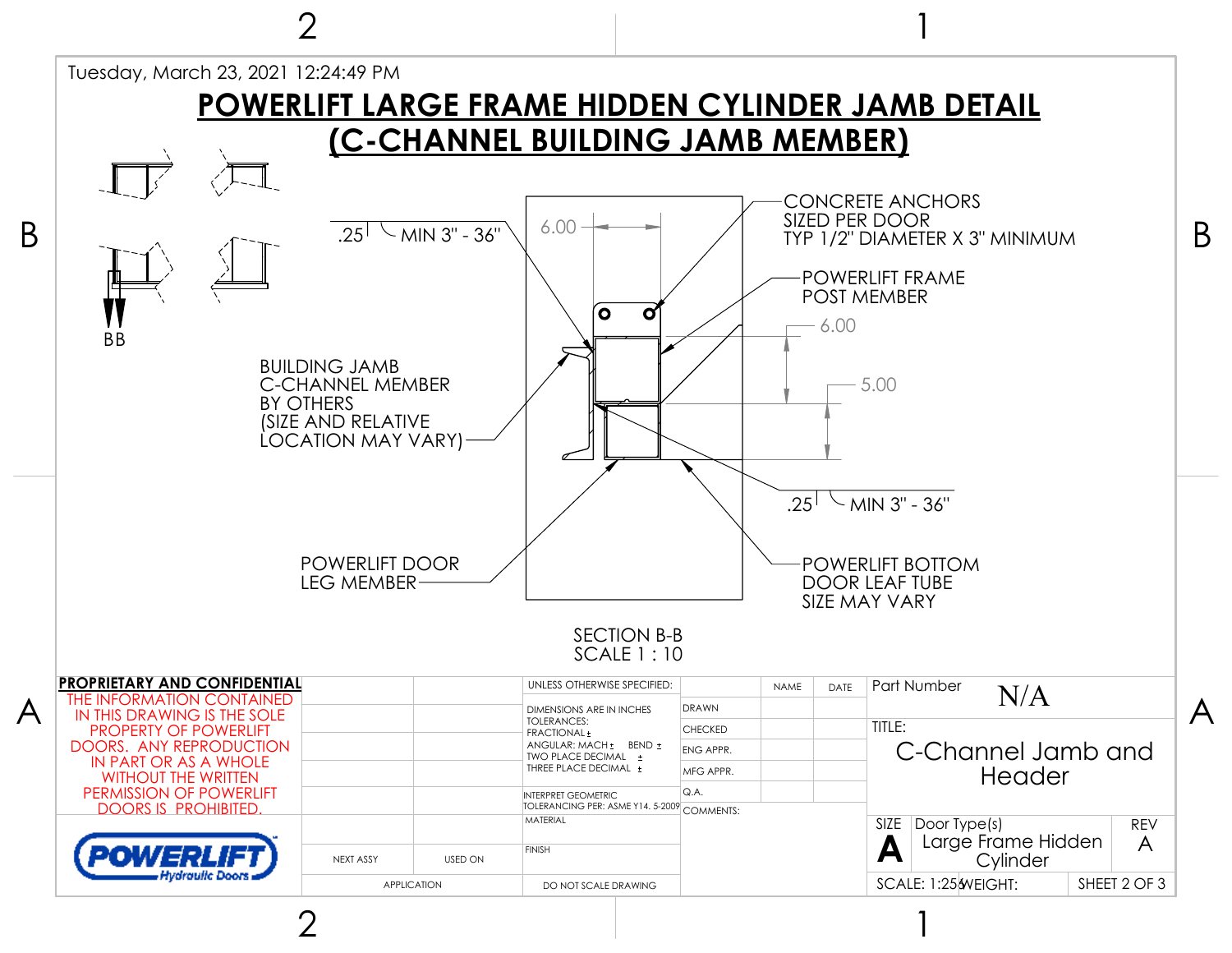

2